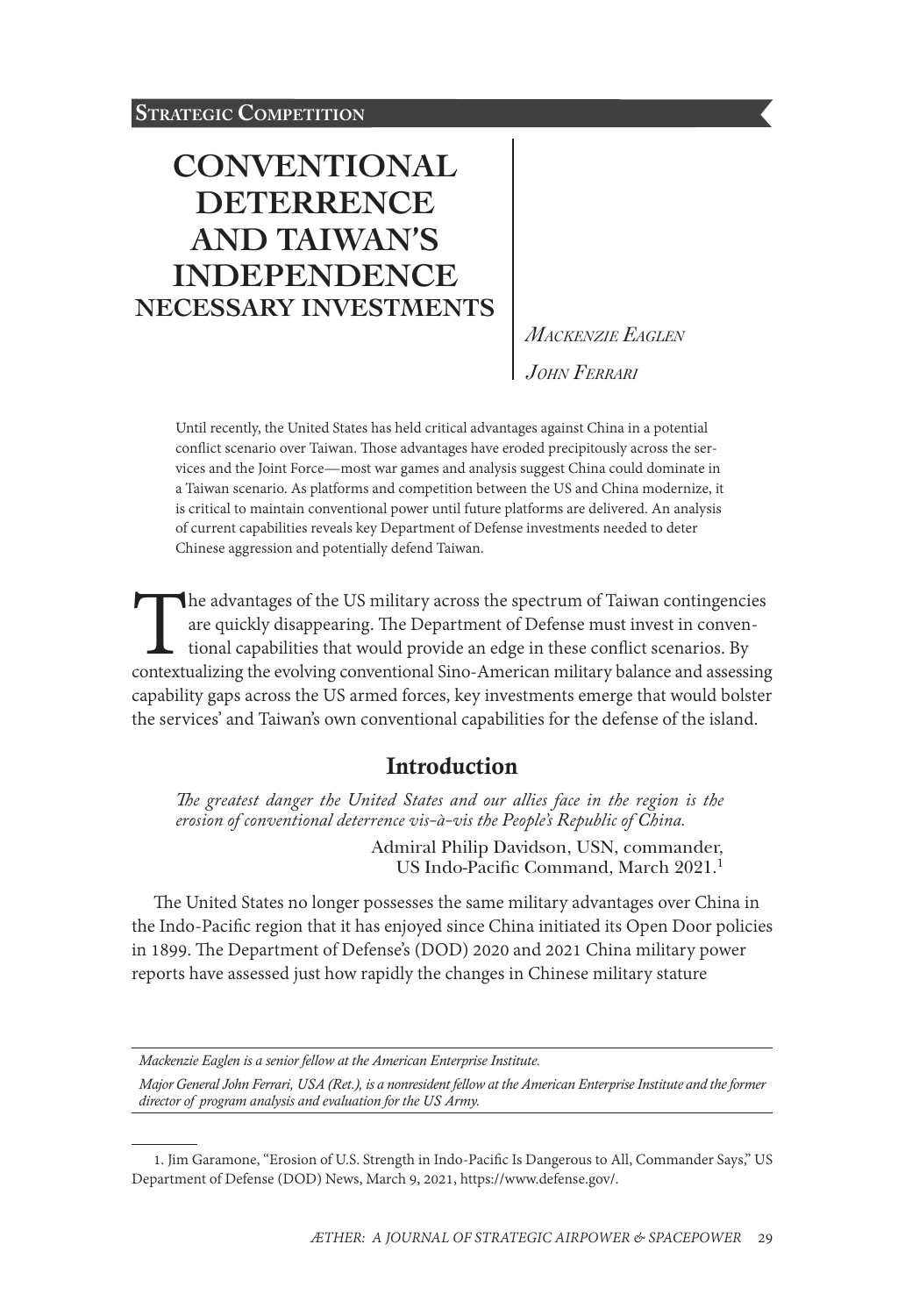### **STRATEGIC COMPETITION**

# **[CONVENTIONAL](#page-0-0)  [DETERRENCE](#page-0-0)  [AND TAIWAN'S](#page-0-0)  [INDEPENDENCE](#page-0-0)  [NECESSARY INVESTMENTS](#page-0-0)**

*Mackenzie Eaglen John Ferrari*

Until recently, the United States has held critical advantages against China in a potential conflict scenario over Taiwan. Those advantages have eroded precipitously across the services and the Joint Force—most war games and analysis suggest China could dominate in a Taiwan scenario. As platforms and competition between the US and China modernize, it is critical to maintain conventional power until future platforms are delivered. An analysis of current capabilities reveals key Department of Defense investments needed to deter Chinese aggression and potentially defend Taiwan.

The advantages of the US military across the spectrum of Taiwan contingencies are quickly disappearing. The Department of Defense must invest in conventional capabilities that would provide an edge in these conflict scenar are quickly disappearing. The Department of Defense must invest in conventional capabilities that would provide an edge in these conflict scenarios. By capability gaps across the US armed forces, key investments emerge that would bolster the services' and Taiwan's own conventional capabilities for the defense of the island.

## Introduction

The greatest danger the United States and our allies face in the region is the *erosion of conventional deterrence vis-à-vis the People's Republic of China.*

> Admiral Philip Davidson, USN, commander, US Indo-Pacific Command, March 2021.<sup>1</sup>

The United States no longer possesses the same military advantages over China in the Indo-Pacific region that it has enjoyed since China initiated its Open Door policies in 1899. The Department of Defense's (DOD) 2020 and 2021 China military power reports have assessed just how rapidly the changes in Chinese military stature

*Mackenzie Eaglen is a senior fellow at the American Enterprise Institute.*

*Major General John Ferrari, USA (Ret.), is a nonresident fellow at the American Enterprise Institute and the former director of program analysis and evaluation for the US Army.*

<span id="page-0-0"></span><sup>1.</sup> Jim Garamone, "Erosion of U.S. Strength in Indo-Pacific Is Dangerous to All, Commander Says," US Department of Defense (DOD) News, March 9, 2021, [https://www.defense.gov/.](https://www.defense.gov/News/News-Stories/Article/Article/2530733/erosion-of-us-strength-in-indo-pacific-is-dangerous-to-all-commander-says/)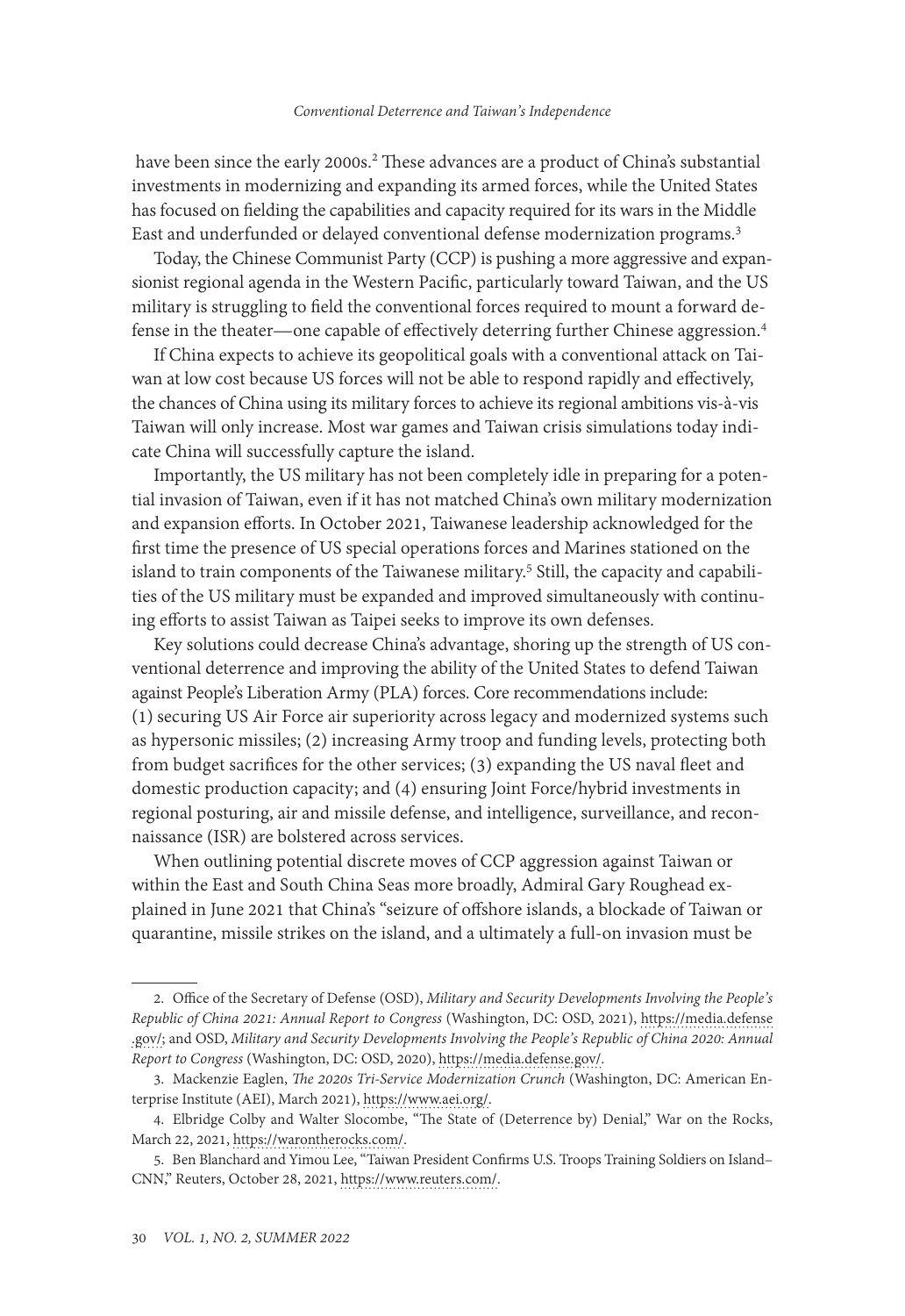have been since the early 2000s.<sup>2</sup> These advances are a product of China's substantial investments in modernizing and expanding its armed forces, while the United States has focused on fielding the capabilities and capacity required for its wars in the Middle East and underfunded or delayed conventional defense modernization programs.<sup>3</sup>

Today, the Chinese Communist Party (CCP) is pushing a more aggressive and expansionist regional agenda in the Western Pacific, particularly toward Taiwan, and the US military is struggling to field the conventional forces required to mount a forward defense in the theater—one capable of effectively deterring further Chinese aggression.4

If China expects to achieve its geopolitical goals with a conventional attack on Taiwan at low cost because US forces will not be able to respond rapidly and effectively, the chances of China using its military forces to achieve its regional ambitions vis-à-vis Taiwan will only increase. Most war games and Taiwan crisis simulations today indicate China will successfully capture the island.

Importantly, the US military has not been completely idle in preparing for a potential invasion of Taiwan, even if it has not matched China's own military modernization and expansion efforts. In October 2021, Taiwanese leadership acknowledged for the first time the presence of US special operations forces and Marines stationed on the island to train components of the Taiwanese military.<sup>5</sup> Still, the capacity and capabilities of the US military must be expanded and improved simultaneously with continuing efforts to assist Taiwan as Taipei seeks to improve its own defenses.

Key solutions could decrease China's advantage, shoring up the strength of US conventional deterrence and improving the ability of the United States to defend Taiwan against People's Liberation Army (PLA) forces. Core recommendations include: (1) securing US Air Force air superiority across legacy and modernized systems such as hypersonic missiles; (2) increasing Army troop and funding levels, protecting both from budget sacrifices for the other services; (3) expanding the US naval fleet and domestic production capacity; and (4) ensuring Joint Force/hybrid investments in regional posturing, air and missile defense, and intelligence, surveillance, and reconnaissance (ISR) are bolstered across services.

When outlining potential discrete moves of CCP aggression against Taiwan or within the East and South China Seas more broadly, Admiral Gary Roughead explained in June 2021 that China's "seizure of offshore islands, a blockade of Taiwan or quarantine, missile strikes on the island, and a ultimately a full-on invasion must be

<sup>2.</sup> Office of the Secretary of Defense (OSD), *Military and Security Developments Involving the People's Republic of China 2021: Annual Report to Congress* (Washington, DC: OSD, 2021), [https://media.defense](https://media.defense.gov/2020/Sep/01/2002488689/-1/-1/1/2020-DOD-CHINA-MILITARY-POWER-REPORT-FINAL.PDF) [.gov/;](https://media.defense.gov/2020/Sep/01/2002488689/-1/-1/1/2020-DOD-CHINA-MILITARY-POWER-REPORT-FINAL.PDF) and OSD, *Military and Security Developments Involving the People's Republic of China 2020: Annual Report to Congress* (Washington, DC: OSD, 2020), [https://media.defense.gov/.](https://media.defense.gov/2021/Nov/03/2002885874/-1/-1/0/2021-CMPR-FINAL.PDF)

<sup>3.</sup> Mackenzie Eaglen, *The 2020s Tri-Service Modernization Crunch* (Washington, DC: American Enterprise Institute (AEI), March 2021), [https://www.aei.org/](https://www.aei.org/wp-content/uploads/2021/03/The-2020s-Tri-Service-Modernization-Crunch-1.pdf?x91208).

<sup>4.</sup> Elbridge Colby and Walter Slocombe, "The State of (Deterrence by) Denial," War on the Rocks, March 22, 2021, [https://warontherocks.com/.](https://warontherocks.com/2021/03/the-state-of-deterrence-by-denial/)

<sup>5.</sup> Ben Blanchard and Yimou Lee, "Taiwan President Confirms U.S. Troops Training Soldiers on Island– CNN," Reuters, October 28, 2021, [https://www.reuters.com/](https://www.reuters.com/world/asia-pacific/taiwan-president-confirms-us-troops-training-soldiers-island-cnn-2021-10-28/).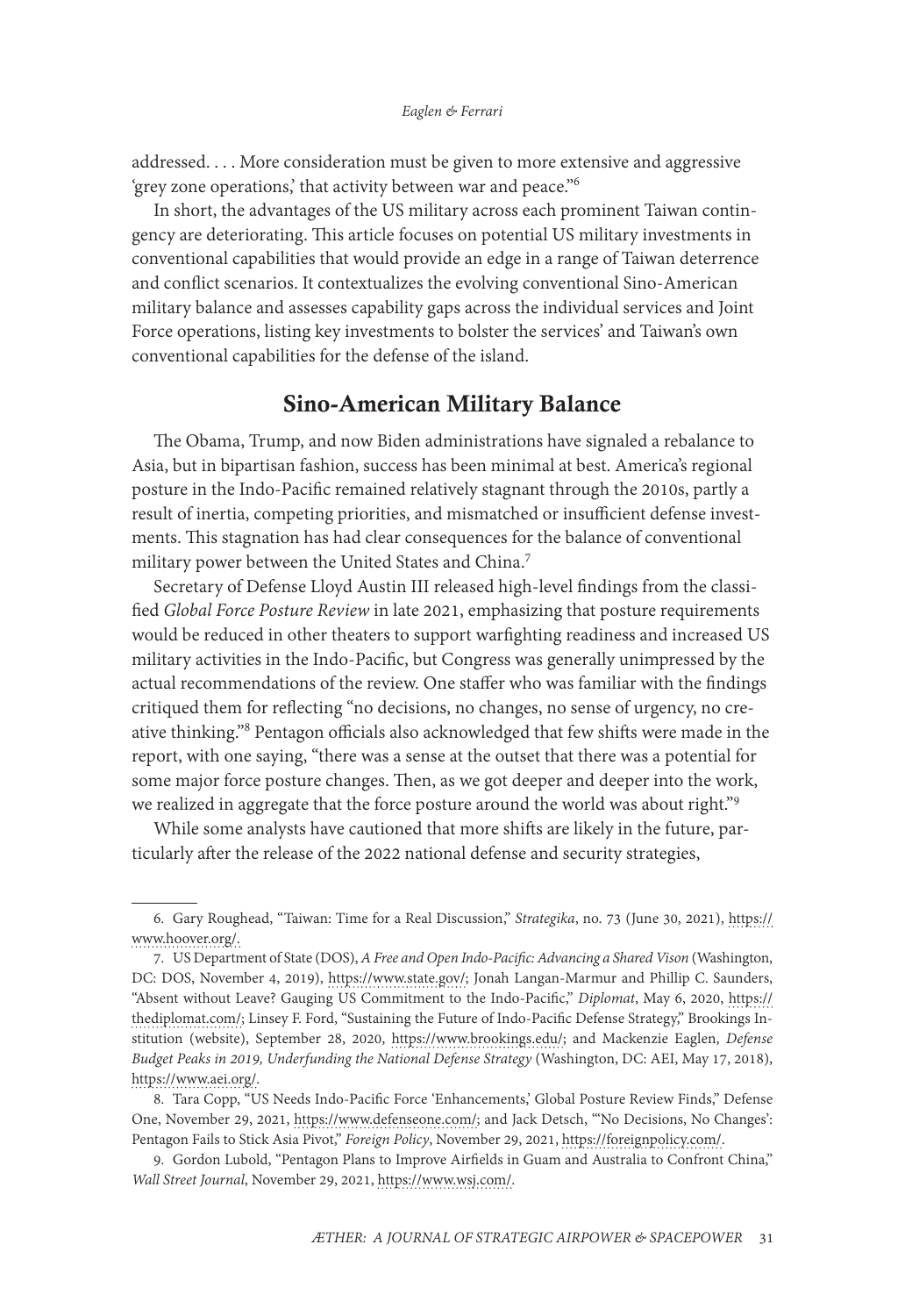addressed. . . . More consideration must be given to more extensive and aggressive 'grey zone operations,' that activity between war and peace."6

In short, the advantages of the US military across each prominent Taiwan contingency are deteriorating. This article focuses on potential US military investments in conventional capabilities that would provide an edge in a range of Taiwan deterrence and conflict scenarios. It contextualizes the evolving conventional Sino-American military balance and assesses capability gaps across the individual services and Joint Force operations, listing key investments to bolster the services' and Taiwan's own conventional capabilities for the defense of the island.

### Sino-American Military Balance

The Obama, Trump, and now Biden administrations have signaled a rebalance to Asia, but in bipartisan fashion, success has been minimal at best. America's regional posture in the Indo-Pacific remained relatively stagnant through the 2010s, partly a result of inertia, competing priorities, and mismatched or insufficient defense investments. This stagnation has had clear consequences for the balance of conventional military power between the United States and China.7

Secretary of Defense Lloyd Austin III released high-level findings from the classified *Global Force Posture Review* in late 2021, emphasizing that posture requirements would be reduced in other theaters to support warfighting readiness and increased US military activities in the Indo-Pacific, but Congress was generally unimpressed by the actual recommendations of the review. One staffer who was familiar with the findings critiqued them for reflecting "no decisions, no changes, no sense of urgency, no creative thinking."8 Pentagon officials also acknowledged that few shifts were made in the report, with one saying, "there was a sense at the outset that there was a potential for some major force posture changes. Then, as we got deeper and deeper into the work, we realized in aggregate that the force posture around the world was about right."9

While some analysts have cautioned that more shifts are likely in the future, particularly after the release of the 2022 national defense and security strategies,

<sup>6.</sup> Gary Roughead, "Taiwan: Time for a Real Discussion," *Strategika*, no. 73 (June 30, 2021), [https://](https://www.hoover.org/research/taiwan-time-real-discussion) [www.hoover.org/.](https://www.hoover.org/research/taiwan-time-real-discussion)

<sup>7.</sup> US Department of State (DOS), *A Free and Open Indo-Pacific: Advancing a Shared Vison* (Washington, DC: DOS, November 4, 2019), [https://www.state.gov/;](https://www.state.gov/wp-content/uploads/2019/11/Free-and-Open-Indo-Pacific-4Nov2019.pdf) Jonah Langan-Marmur and Phillip C. Saunders, "Absent without Leave? Gauging US Commitment to the Indo-Pacific," *Diplomat*, May 6, 2020, [https://](https://thediplomat.com/2020/05/absent-without-leave-gauging-us-commitment-to-the-indo-pacific/) [thediplomat.com/](https://thediplomat.com/2020/05/absent-without-leave-gauging-us-commitment-to-the-indo-pacific/); Linsey F. Ford, "Sustaining the Future of Indo-Pacific Defense Strategy," Brookings Institution (website), September 28, 2020, [https://www.brookings.edu/](https://www.brookings.edu/articles/sustaining-the-future-of-indo-pacific-defense-strategy/); and Mackenzie Eaglen, *Defense Budget Peaks in 2019, Underfunding the National Defense Strategy* (Washington, DC: AEI, May 17, 2018), [https://www.aei.org/](https://www.aei.org/research-products/report/defense-budget-peaks-in-2019-underfunding-the-national-defense-strategy/).

<sup>8.</sup> Tara Copp, "US Needs Indo-Pacific Force 'Enhancements,' Global Posture Review Finds," Defense One, November 29, 2021, [https://www.defenseone.com/;](https://www.defenseone.com/threats/2021/11/us-needs-indo-pacific-force-enhancements-global-posture-review-finds/187134/) and Jack Detsch, "'No Decisions, No Changes': Pentagon Fails to Stick Asia Pivot," *Foreign Policy*, November 29, 2021, [https://foreignpolicy.com/.](https://foreignpolicy.com/2021/11/29/pentagon-china-biden-asia-pivot/)

<sup>9.</sup> Gordon Lubold, "Pentagon Plans to Improve Airfields in Guam and Australia to Confront China," *Wall Street Journal*, November 29, 2021, [https://www.wsj.com/](https://www.wsj.com/articles/us-china-pentagon-middle-east-11638142162).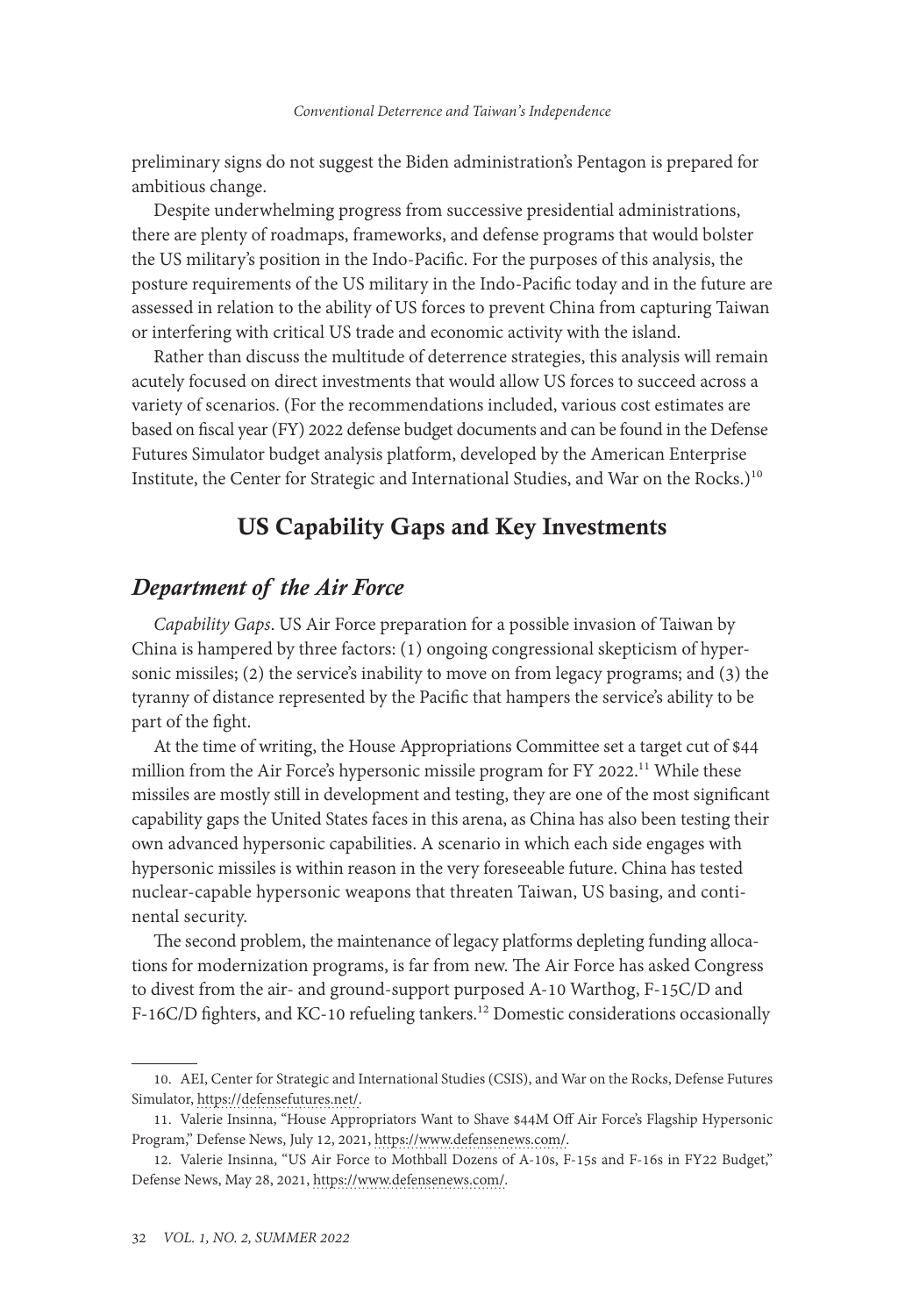preliminary signs do not suggest the Biden administration's Pentagon is prepared for ambitious change.

Despite underwhelming progress from successive presidential administrations, there are plenty of roadmaps, frameworks, and defense programs that would bolster the US military's position in the Indo-Pacific. For the purposes of this analysis, the posture requirements of the US military in the Indo-Pacific today and in the future are assessed in relation to the ability of US forces to prevent China from capturing Taiwan or interfering with critical US trade and economic activity with the island.

Rather than discuss the multitude of deterrence strategies, this analysis will remain acutely focused on direct investments that would allow US forces to succeed across a variety of scenarios. (For the recommendations included, various cost estimates are based on fiscal year (FY) 2022 defense budget documents and can be found in the Defense Futures Simulator budget analysis platform, developed by the American Enterprise Institute, the Center for Strategic and International Studies, and War on the Rocks.)<sup>10</sup>

## US Capability Gaps and Key Investments

### *Department of the Air Force*

*Capability Gaps*. US Air Force preparation for a possible invasion of Taiwan by China is hampered by three factors: (1) ongoing congressional skepticism of hypersonic missiles; (2) the service's inability to move on from legacy programs; and (3) the tyranny of distance represented by the Pacific that hampers the service's ability to be part of the fight.

At the time of writing, the House Appropriations Committee set a target cut of \$44 million from the Air Force's hypersonic missile program for FY 2022.<sup>11</sup> While these missiles are mostly still in development and testing, they are one of the most significant capability gaps the United States faces in this arena, as China has also been testing their own advanced hypersonic capabilities. A scenario in which each side engages with hypersonic missiles is within reason in the very foreseeable future. China has tested nuclear-capable hypersonic weapons that threaten Taiwan, US basing, and continental security.

The second problem, the maintenance of legacy platforms depleting funding allocations for modernization programs, is far from new. The Air Force has asked Congress to divest from the air- and ground-support purposed A-10 Warthog, F-15C/D and F-16C/D fighters, and KC-10 refueling tankers.<sup>12</sup> Domestic considerations occasionally

<sup>10.</sup> AEI, Center for Strategic and International Studies (CSIS), and War on the Rocks, Defense Futures Simulator, [https://defensefutures.net/](https://defensefutures.net).

<sup>11.</sup> Valerie Insinna, "House Appropriators Want to Shave \$44M Off Air Force's Flagship Hypersonic Program," Defense News, July 12, 2021, [https://www.defensenews.com/.](https://www.defensenews.com/air/2021/07/12/house-appropriators-want-to-shave-44m-off-air-forces-flagship-hypersonic-program/)

<sup>12.</sup> Valerie Insinna, "US Air Force to Mothball Dozens of A-10s, F-15s and F-16s in FY22 Budget," Defense News, May 28, 2021, [https://www.defensenews.com/](https://www.defensenews.com/congress/budget/2021/05/28/us-air-force-to-mothball-dozens-of-a-10s-f-15s-and-f-16s-in-fy22-budget/).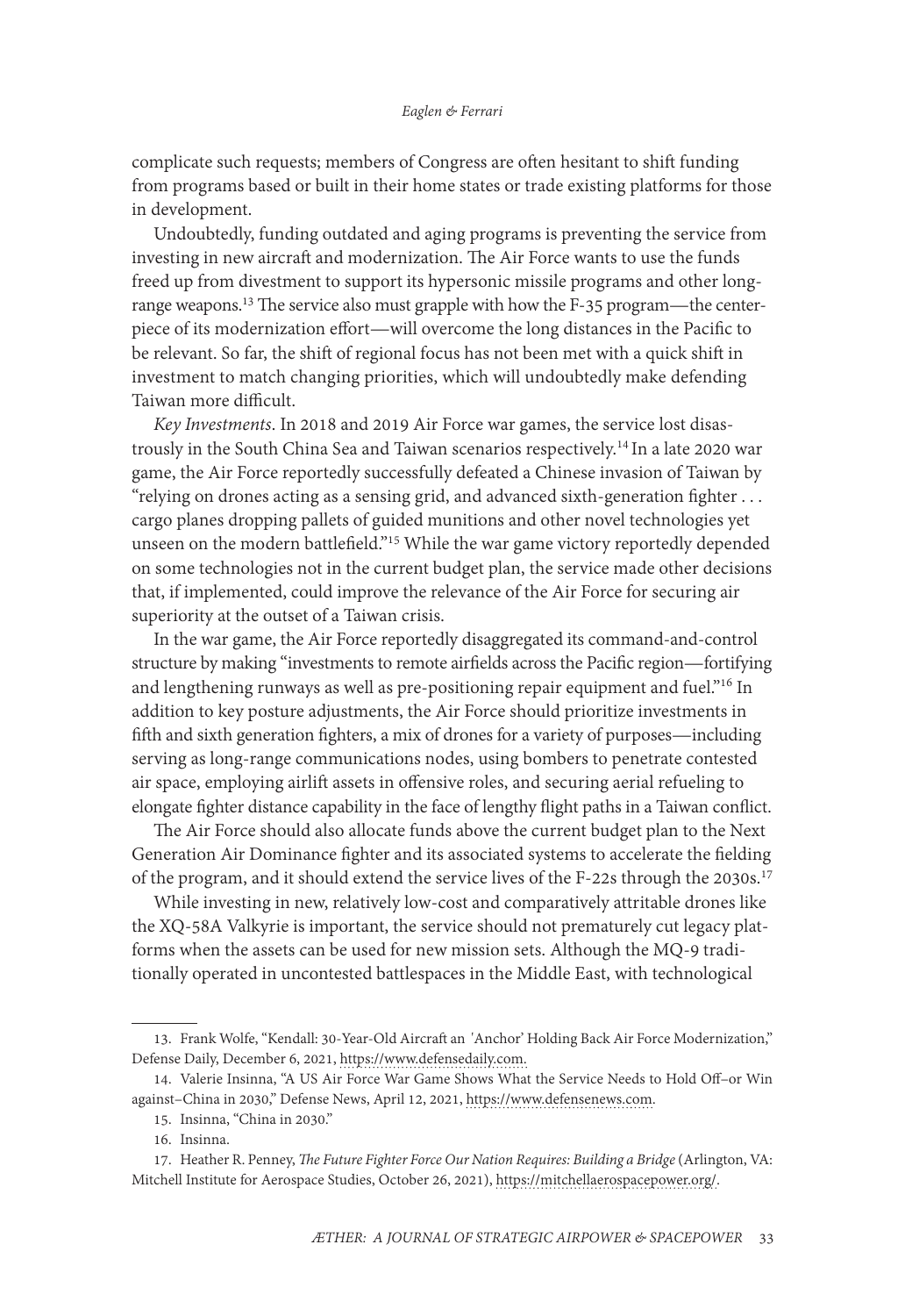complicate such requests; members of Congress are often hesitant to shift funding from programs based or built in their home states or trade existing platforms for those in development.

Undoubtedly, funding outdated and aging programs is preventing the service from investing in new aircraft and modernization. The Air Force wants to use the funds freed up from divestment to support its hypersonic missile programs and other longrange weapons.<sup>13</sup> The service also must grapple with how the F-35 program—the centerpiece of its modernization effort—will overcome the long distances in the Pacific to be relevant. So far, the shift of regional focus has not been met with a quick shift in investment to match changing priorities, which will undoubtedly make defending Taiwan more difficult.

*Key Investments*. In 2018 and 2019 Air Force war games, the service lost disastrously in the South China Sea and Taiwan scenarios respectively.14 In a late 2020 war game, the Air Force reportedly successfully defeated a Chinese invasion of Taiwan by "relying on drones acting as a sensing grid, and advanced sixth-generation fighter . . . cargo planes dropping pallets of guided munitions and other novel technologies yet unseen on the modern battlefield."15 While the war game victory reportedly depended on some technologies not in the current budget plan, the service made other decisions that, if implemented, could improve the relevance of the Air Force for securing air superiority at the outset of a Taiwan crisis.

In the war game, the Air Force reportedly disaggregated its command-and-control structure by making "investments to remote airfields across the Pacific region—fortifying and lengthening runways as well as pre-positioning repair equipment and fuel."<sup>16</sup> In addition to key posture adjustments, the Air Force should prioritize investments in fifth and sixth generation fighters, a mix of drones for a variety of purposes—including serving as long-range communications nodes, using bombers to penetrate contested air space, employing airlift assets in offensive roles, and securing aerial refueling to elongate fighter distance capability in the face of lengthy flight paths in a Taiwan conflict.

The Air Force should also allocate funds above the current budget plan to the Next Generation Air Dominance fighter and its associated systems to accelerate the fielding of the program, and it should extend the service lives of the F-22s through the 2030s.<sup>17</sup>

While investing in new, relatively low-cost and comparatively attritable drones like the XQ-58A Valkyrie is important, the service should not prematurely cut legacy platforms when the assets can be used for new mission sets. Although the MQ-9 traditionally operated in uncontested battlespaces in the Middle East, with technological

<sup>13.</sup> Frank Wolfe, "Kendall: 30-Year-Old Aircraft an 'Anchor' Holding Back Air Force Modernization," Defense Daily, December 6, 2021, [https://www.defensedaily.com.](https://www.defensedaily.com/kendall-30-year-old-aircraft-an-anchor-holding-back-usaf-modernization/)

<sup>14.</sup> Valerie Insinna, "A US Air Force War Game Shows What the Service Needs to Hold Off–or Win against–China in 2030," Defense News, April 12, 2021, [https://www.defensenews.com](https://www.defensenews.com/training-sim/2021/04/12/a-us-air-force-war-game-shows-what-the-service-needs-to-hold-off-or-win-against-china-in-2030/).

<sup>15.</sup> Insinna, "China in 2030."

<sup>16.</sup> Insinna.

<sup>17.</sup> Heather R. Penney, *The Future Fighter Force Our Nation Requires: Building a Bridge* (Arlington, VA: Mitchell Institute for Aerospace Studies, October 26, 2021), [https://mitchellaerospacepower.org/](https://mitchellaerospacepower.org/the-future-fighter-force-our-nation-requires-building-a-bridge/).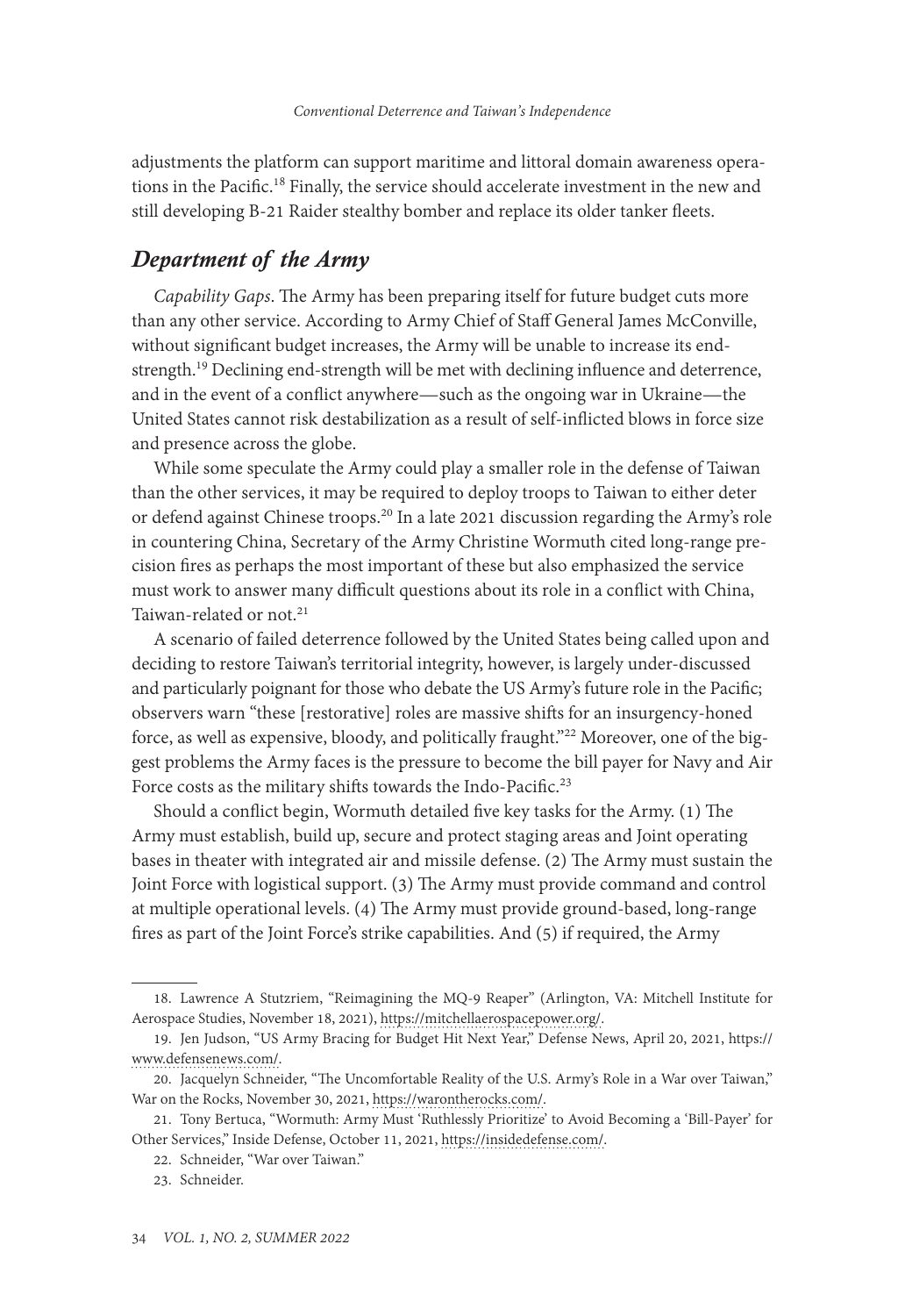adjustments the platform can support maritime and littoral domain awareness operations in the Pacific.<sup>18</sup> Finally, the service should accelerate investment in the new and still developing B-21 Raider stealthy bomber and replace its older tanker fleets.

## *Department of the Army*

*Capability Gaps*. The Army has been preparing itself for future budget cuts more than any other service. According to Army Chief of Staff General James McConville, without significant budget increases, the Army will be unable to increase its endstrength.<sup>19</sup> Declining end-strength will be met with declining influence and deterrence, and in the event of a conflict anywhere—such as the ongoing war in Ukraine—the United States cannot risk destabilization as a result of self-inflicted blows in force size and presence across the globe.

While some speculate the Army could play a smaller role in the defense of Taiwan than the other services, it may be required to deploy troops to Taiwan to either deter or defend against Chinese troops.<sup>20</sup> In a late 2021 discussion regarding the Army's role in countering China, Secretary of the Army Christine Wormuth cited long-range precision fires as perhaps the most important of these but also emphasized the service must work to answer many difficult questions about its role in a conflict with China, Taiwan-related or not.<sup>21</sup>

A scenario of failed deterrence followed by the United States being called upon and deciding to restore Taiwan's territorial integrity, however, is largely under-discussed and particularly poignant for those who debate the US Army's future role in the Pacific; observers warn "these [restorative] roles are massive shifts for an insurgency-honed force, as well as expensive, bloody, and politically fraught."<sup>22</sup> Moreover, one of the biggest problems the Army faces is the pressure to become the bill payer for Navy and Air Force costs as the military shifts towards the Indo-Pacific.<sup>23</sup>

Should a conflict begin, Wormuth detailed five key tasks for the Army. (1) The Army must establish, build up, secure and protect staging areas and Joint operating bases in theater with integrated air and missile defense. (2) The Army must sustain the Joint Force with logistical support. (3) The Army must provide command and control at multiple operational levels. (4) The Army must provide ground-based, long-range fires as part of the Joint Force's strike capabilities. And (5) if required, the Army

<sup>18.</sup> Lawrence A Stutzriem, "Reimagining the MQ-9 Reaper" (Arlington, VA: Mitchell Institute for Aerospace Studies, November 18, 2021), [https://mitchellaerospacepower.org/.](https://mitchellaerospacepower.org/reimagining-the-mq-9-reaper/)

<sup>19.</sup> Jen Judson, "US Army Bracing for Budget Hit Next Year," Defense News, April 20, 2021, [https://](https://www.defensenews.com/land/2021/04/20/us-army-bracing-for-fy22-budget-hit/) [www.defensenews.com/](https://www.defensenews.com/land/2021/04/20/us-army-bracing-for-fy22-budget-hit/).

<sup>20.</sup> Jacquelyn Schneider, "The Uncomfortable Reality of the U.S. Army's Role in a War over Taiwan," War on the Rocks, November 30, 2021, [https://warontherocks.com/](https://warontherocks.com/2021/11/the-uncomfortable-reality-of-the-u-s-armys-role-in-a-war-over-taiwan/).

<sup>21.</sup> Tony Bertuca, "Wormuth: Army Must 'Ruthlessly Prioritize' to Avoid Becoming a 'Bill-Payer' for Other Services," Inside Defense, October 11, 2021, [https://insidedefense.com/](https://insidedefense.com/daily-news/wormuth-army-must-ruthlessly-prioritize-avoid-becoming-bill-payer-other-services).

<sup>22.</sup> Schneider, "War over Taiwan."

<sup>23.</sup> Schneider.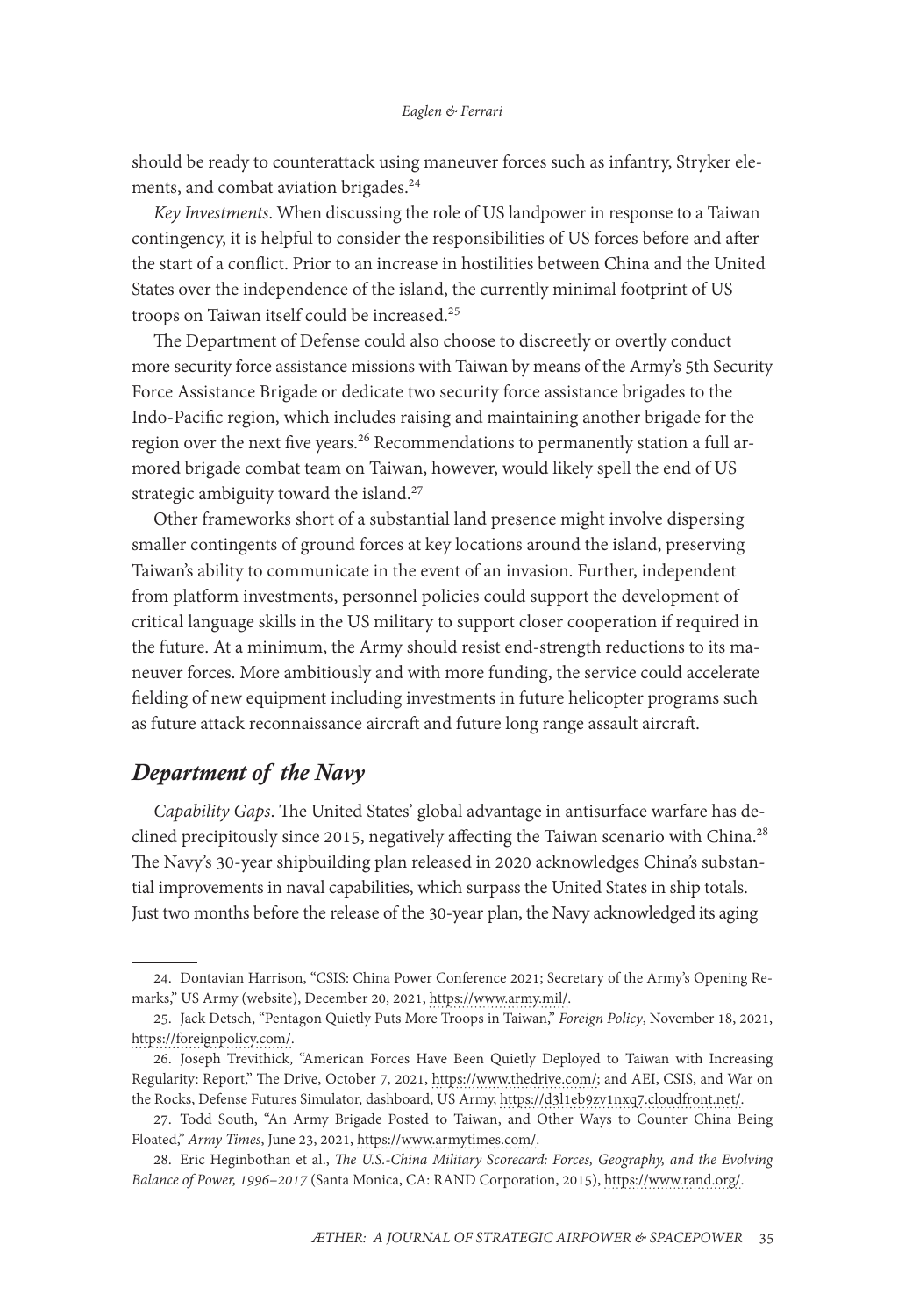should be ready to counterattack using maneuver forces such as infantry, Stryker elements, and combat aviation brigades.24

*Key Investments*. When discussing the role of US landpower in response to a Taiwan contingency, it is helpful to consider the responsibilities of US forces before and after the start of a conflict. Prior to an increase in hostilities between China and the United States over the independence of the island, the currently minimal footprint of US troops on Taiwan itself could be increased.25

The Department of Defense could also choose to discreetly or overtly conduct more security force assistance missions with Taiwan by means of the Army's 5th Security Force Assistance Brigade or dedicate two security force assistance brigades to the Indo-Pacific region, which includes raising and maintaining another brigade for the region over the next five years.<sup>26</sup> Recommendations to permanently station a full armored brigade combat team on Taiwan, however, would likely spell the end of US strategic ambiguity toward the island.<sup>27</sup>

Other frameworks short of a substantial land presence might involve dispersing smaller contingents of ground forces at key locations around the island, preserving Taiwan's ability to communicate in the event of an invasion. Further, independent from platform investments, personnel policies could support the development of critical language skills in the US military to support closer cooperation if required in the future. At a minimum, the Army should resist end-strength reductions to its maneuver forces. More ambitiously and with more funding, the service could accelerate fielding of new equipment including investments in future helicopter programs such as future attack reconnaissance aircraft and future long range assault aircraft.

# *Department of the Navy*

*Capability Gaps*. The United States' global advantage in antisurface warfare has declined precipitously since 2015, negatively affecting the Taiwan scenario with China.<sup>28</sup> The Navy's 30-year shipbuilding plan released in 2020 acknowledges China's substantial improvements in naval capabilities, which surpass the United States in ship totals. Just two months before the release of the 30-year plan, the Navy acknowledged its aging

<sup>24.</sup> Dontavian Harrison, "CSIS: China Power Conference 2021; Secretary of the Army's Opening Remarks," US Army (website), December 20, 2021, [https://www.army.mil/.](https://www.army.mil/article/252918/csis_china_power_conference_2021_secretary_of_the_armys_opening_remarks)

<sup>25.</sup> Jack Detsch, "Pentagon Quietly Puts More Troops in Taiwan," *Foreign Policy*, November 18, 2021, [https://foreignpolicy.com/](https://foreignpolicy.com/2021/11/18/pentagon-biden-troops-taiwan-china/).

<sup>26.</sup> Joseph Trevithick, "American Forces Have Been Quietly Deployed to Taiwan with Increasing Regularity: Report," The Drive, October 7, 2021, [https://www.thedrive.com/;](https://www.thedrive.com/the-war-zone/42658/american-forces-have-been-quietly-deployed-to-taiwan-with-increasing-regularity-report) and AEI, CSIS, and War on the Rocks, Defense Futures Simulator, dashboard, US Army, [https://d3l1eb9zv1nxq7.cloudfront.net/](https://d3l1eb9zv1nxq7.cloudfront.net/hxxl4/dashboard/army/security-force-assistance-brigade/active).

<sup>27.</sup> Todd South, "An Army Brigade Posted to Taiwan, and Other Ways to Counter China Being Floated," *Army Times*, June 23, 2021, [https://www.armytimes.com/](https://www.armytimes.com/news/your-army/2021/06/23/an-army-brigade-posted-to-taiwan-and-other-ways-to-counter-china-being-floated/).

<sup>28.</sup> Eric Heginbothan et al., *The U.S.-China Military Scorecard: Forces, Geography, and the Evolving Balance of Power, 1996–2017* (Santa Monica, CA: RAND Corporation, 2015), [https://www.rand.org/](https://www.rand.org/paf/projects/us-china-scorecard.html).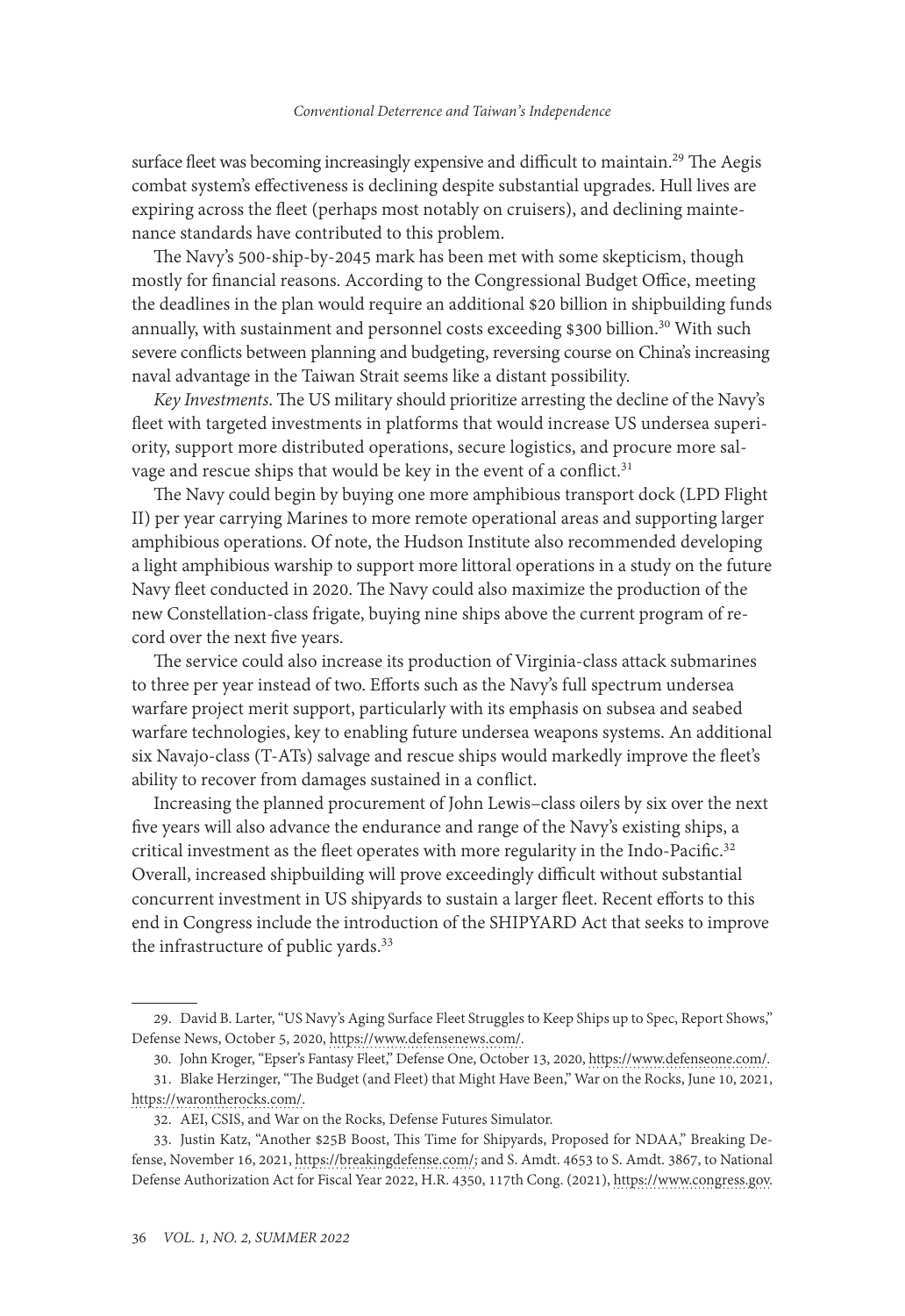surface fleet was becoming increasingly expensive and difficult to maintain.<sup>29</sup> The Aegis combat system's effectiveness is declining despite substantial upgrades. Hull lives are expiring across the fleet (perhaps most notably on cruisers), and declining maintenance standards have contributed to this problem.

The Navy's 500-ship-by-2045 mark has been met with some skepticism, though mostly for financial reasons. According to the Congressional Budget Office, meeting the deadlines in the plan would require an additional \$20 billion in shipbuilding funds annually, with sustainment and personnel costs exceeding \$300 billion.<sup>30</sup> With such severe conflicts between planning and budgeting, reversing course on China's increasing naval advantage in the Taiwan Strait seems like a distant possibility.

*Key Investments*. The US military should prioritize arresting the decline of the Navy's fleet with targeted investments in platforms that would increase US undersea superiority, support more distributed operations, secure logistics, and procure more salvage and rescue ships that would be key in the event of a conflict.<sup>31</sup>

The Navy could begin by buying one more amphibious transport dock (LPD Flight II) per year carrying Marines to more remote operational areas and supporting larger amphibious operations. Of note, the Hudson Institute also recommended developing a light amphibious warship to support more littoral operations in a study on the future Navy fleet conducted in 2020. The Navy could also maximize the production of the new Constellation-class frigate, buying nine ships above the current program of record over the next five years.

The service could also increase its production of Virginia-class attack submarines to three per year instead of two. Efforts such as the Navy's full spectrum undersea warfare project merit support, particularly with its emphasis on subsea and seabed warfare technologies, key to enabling future undersea weapons systems. An additional six Navajo-class (T-ATs) salvage and rescue ships would markedly improve the fleet's ability to recover from damages sustained in a conflict.

Increasing the planned procurement of John Lewis–class oilers by six over the next five years will also advance the endurance and range of the Navy's existing ships, a critical investment as the fleet operates with more regularity in the Indo-Pacific.<sup>32</sup> Overall, increased shipbuilding will prove exceedingly difficult without substantial concurrent investment in US shipyards to sustain a larger fleet. Recent efforts to this end in Congress include the introduction of the SHIPYARD Act that seeks to improve the infrastructure of public yards.<sup>33</sup>

<sup>29.</sup> David B. Larter, "US Navy's Aging Surface Fleet Struggles to Keep Ships up to Spec, Report Shows," Defense News, October 5, 2020, [https://www.defensenews.com/](https://www.defensenews.com/naval/2020/10/05/the-us-navys-aging-surface-fleet-struggles-to-keep-ships-up-to-spec-report-shows/).

<sup>30.</sup> John Kroger, "Epser's Fantasy Fleet," Defense One, October 13, 2020, [https://www.defenseone.com/.](https://nam02.safelinks.protection.outlook.com/?url=https%3A%2F%2Fwww.defenseone.com%2Fideas%2F2020%2F10%2Fespers-fantasy-fleet%2F169179%2F&data=05%7C01%7Claura.thurston_goodroe%40au.af.edu%7C1c475028f8a64d4833eb08da2a0f415b%7C9f90e2a5baf54a3787bd48acea06e6e2%7C0%7C0%7C637868543612760796%7CUnknown%7CTWFpbGZsb3d8eyJWIjoiMC4wLjAwMDAiLCJQIjoiV2luMzIiLCJBTiI6Ik1haWwiLCJXVCI6Mn0%3D%7C3000%7C%7C%7C&sdata=sQXwyH0E7Jm33tdVdr7n8mUVRBwsfay3oZDrqU55GdE%3D&reserved=0)

<sup>31.</sup> Blake Herzinger, "The Budget (and Fleet) that Might Have Been," War on the Rocks, June 10, 2021, [https://warontherocks.com/](https://warontherocks.com/2021/06/the-budget-and-fleet-that-might-have-been/).

<sup>32.</sup> AEI, CSIS, and War on the Rocks, Defense Futures Simulator.

<sup>33.</sup> Justin Katz, "Another \$25B Boost, This Time for Shipyards, Proposed for NDAA," Breaking Defense, November 16, 2021, [https://breakingdefense.com/;](https://breakingdefense.com/2021/11/another-25b-boost-this-time-for-shipyards-proposed-for-ndaa/) and S. Amdt. 4653 to S. Amdt. 3867, to National Defense Authorization Act for Fiscal Year 2022, H.R. 4350, 117th Cong. (2021), [https://www.congress.gov.](https://www.congress.gov/amendment/117th-congress/senate-amendment/4653/text?q=%7B%22search%22%3A%%224653%22%7D&r=1&s=2)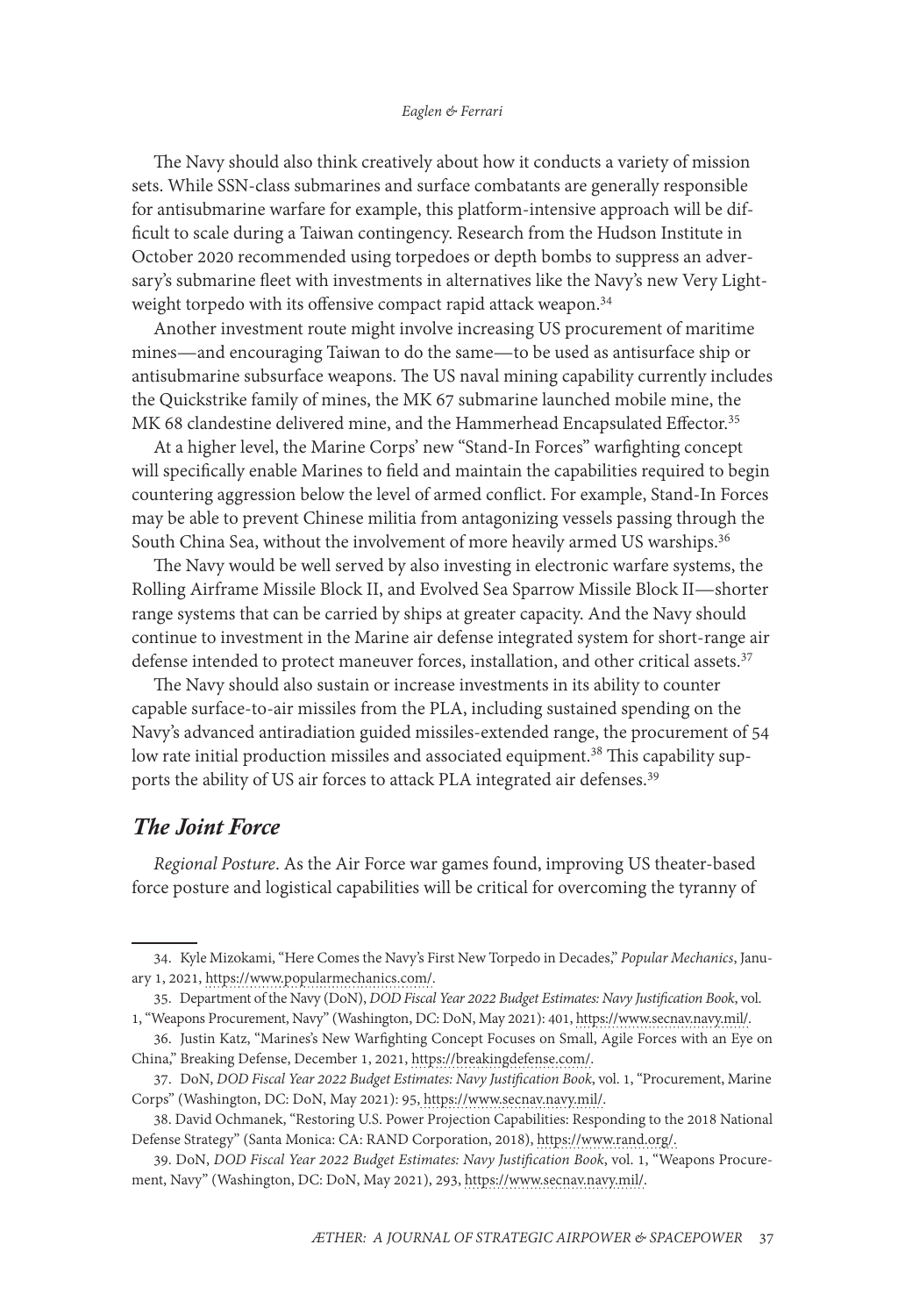#### *Eaglen & Ferrari*

The Navy should also think creatively about how it conducts a variety of mission sets. While SSN-class submarines and surface combatants are generally responsible for antisubmarine warfare for example, this platform-intensive approach will be difficult to scale during a Taiwan contingency. Research from the Hudson Institute in October 2020 recommended using torpedoes or depth bombs to suppress an adversary's submarine fleet with investments in alternatives like the Navy's new Very Lightweight torpedo with its offensive compact rapid attack weapon.<sup>34</sup>

Another investment route might involve increasing US procurement of maritime mines—and encouraging Taiwan to do the same—to be used as antisurface ship or antisubmarine subsurface weapons. The US naval mining capability currently includes the Quickstrike family of mines, the MK 67 submarine launched mobile mine, the MK 68 clandestine delivered mine, and the Hammerhead Encapsulated Effector.<sup>35</sup>

At a higher level, the Marine Corps' new "Stand-In Forces" warfighting concept will specifically enable Marines to field and maintain the capabilities required to begin countering aggression below the level of armed conflict. For example, Stand-In Forces may be able to prevent Chinese militia from antagonizing vessels passing through the South China Sea, without the involvement of more heavily armed US warships.<sup>36</sup>

The Navy would be well served by also investing in electronic warfare systems, the Rolling Airframe Missile Block II, and Evolved Sea Sparrow Missile Block II—shorter range systems that can be carried by ships at greater capacity. And the Navy should continue to investment in the Marine air defense integrated system for short-range air defense intended to protect maneuver forces, installation, and other critical assets.<sup>37</sup>

The Navy should also sustain or increase investments in its ability to counter capable surface-to-air missiles from the PLA, including sustained spending on the Navy's advanced antiradiation guided missiles-extended range, the procurement of 54 low rate initial production missiles and associated equipment.<sup>38</sup> This capability supports the ability of US air forces to attack PLA integrated air defenses.<sup>39</sup>

### *The Joint Force*

*Regional Posture*. As the Air Force war games found, improving US theater-based force posture and logistical capabilities will be critical for overcoming the tyranny of

<sup>34.</sup> Kyle Mizokami, "Here Comes the Navy's First New Torpedo in Decades," *Popular Mechanics*, January 1, 2021, [https://www.popularmechanics.com/.](https://www.popularmechanics.com/military/weapons/a35085267/navy-first-new-torpedo-in-decades/)

<sup>35.</sup> Department of the Navy (DoN), *DOD Fiscal Year 2022 Budget Estimates: Navy Justification Book*, vol.

<sup>1, &</sup>quot;Weapons Procurement, Navy" (Washington, DC: DoN, May 2021): 401, https://www.secnav.navy.mil/.

<sup>36.</sup> Justin Katz, "Marines's New Warfighting Concept Focuses on Small, Agile Forces with an Eye on China," Breaking Defense, December 1, 2021, [https://breakingdefense.com/](https://breakingdefense.com/2021/12/marines-new-warfighting-concept-focuses-on-small-agile-forces-with-eye-on-china/).

<sup>37.</sup> DoN, *DOD Fiscal Year 2022 Budget Estimates: Navy Justification Book*, vol. 1, "Procurement, Marine Corps" (Washington, DC: DoN, May 2021): 95, https://www.secnav.navy.mil/.

<sup>38.</sup> David Ochmanek, "Restoring U.S. Power Projection Capabilities: Responding to the 2018 National Defense Strategy" (Santa Monica: CA: RAND Corporation, 2018), [https://www.rand.org/.](https://www.rand.org/pubs/perspectives/PE260.html)

<sup>39.</sup> DoN, *DOD Fiscal Year 2022 Budget Estimates: Navy Justification Book*, vol. 1, "Weapons Procurement, Navy" (Washington, DC: DoN, May 2021), 293, https://www.secnav.navy.mil/.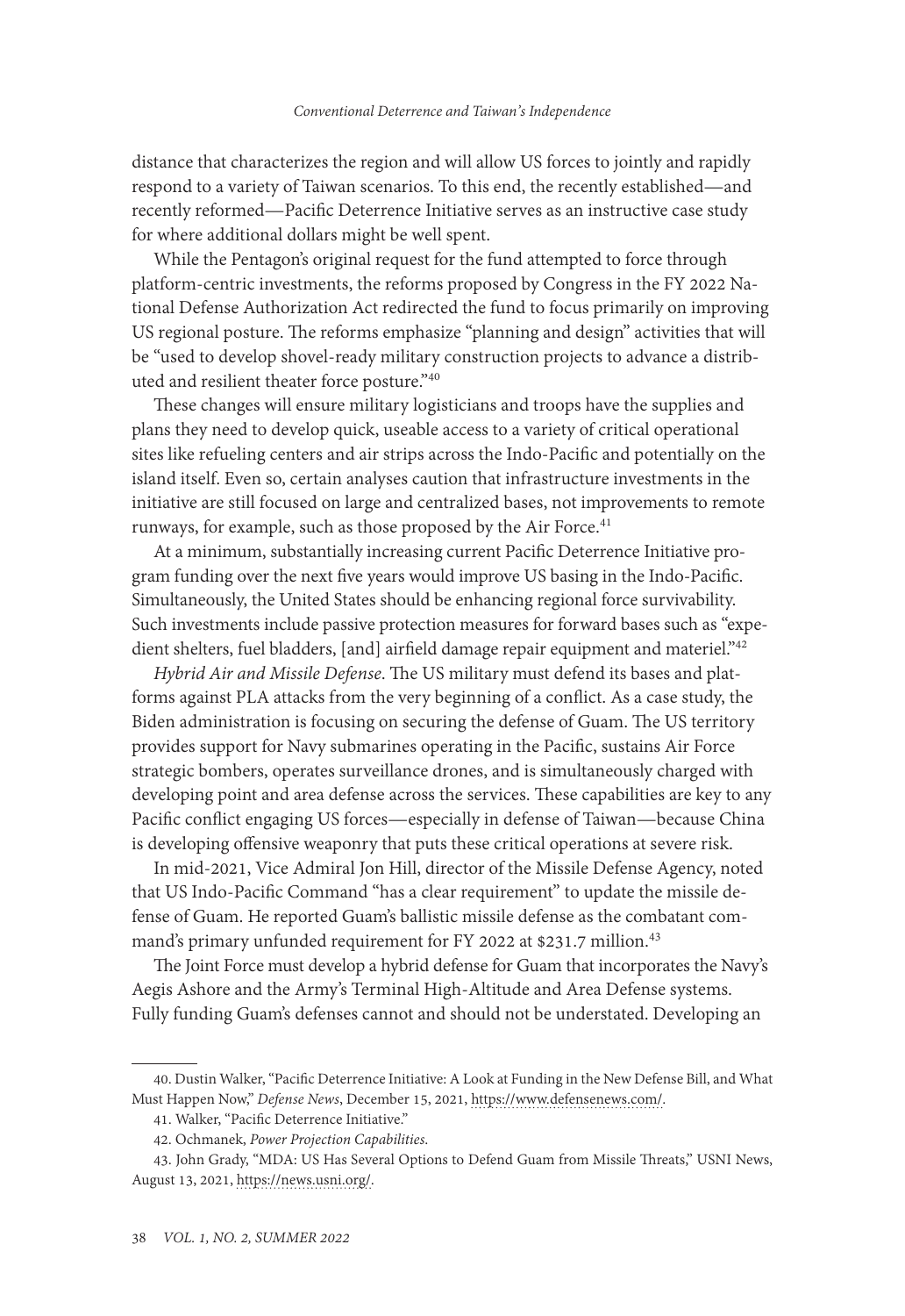distance that characterizes the region and will allow US forces to jointly and rapidly respond to a variety of Taiwan scenarios. To this end, the recently established—and recently reformed—Pacific Deterrence Initiative serves as an instructive case study for where additional dollars might be well spent.

While the Pentagon's original request for the fund attempted to force through platform-centric investments, the reforms proposed by Congress in the FY 2022 National Defense Authorization Act redirected the fund to focus primarily on improving US regional posture. The reforms emphasize "planning and design" activities that will be "used to develop shovel-ready military construction projects to advance a distributed and resilient theater force posture."40

These changes will ensure military logisticians and troops have the supplies and plans they need to develop quick, useable access to a variety of critical operational sites like refueling centers and air strips across the Indo-Pacific and potentially on the island itself. Even so, certain analyses caution that infrastructure investments in the initiative are still focused on large and centralized bases, not improvements to remote runways, for example, such as those proposed by the Air Force.<sup>41</sup>

At a minimum, substantially increasing current Pacific Deterrence Initiative program funding over the next five years would improve US basing in the Indo-Pacific. Simultaneously, the United States should be enhancing regional force survivability. Such investments include passive protection measures for forward bases such as "expedient shelters, fuel bladders, [and] airfield damage repair equipment and materiel."<sup>42</sup>

*Hybrid Air and Missile Defense*. The US military must defend its bases and platforms against PLA attacks from the very beginning of a conflict. As a case study, the Biden administration is focusing on securing the defense of Guam. The US territory provides support for Navy submarines operating in the Pacific, sustains Air Force strategic bombers, operates surveillance drones, and is simultaneously charged with developing point and area defense across the services. These capabilities are key to any Pacific conflict engaging US forces—especially in defense of Taiwan—because China is developing offensive weaponry that puts these critical operations at severe risk.

In mid-2021, Vice Admiral Jon Hill, director of the Missile Defense Agency, noted that US Indo-Pacific Command "has a clear requirement" to update the missile defense of Guam. He reported Guam's ballistic missile defense as the combatant command's primary unfunded requirement for FY 2022 at \$231.7 million.<sup>43</sup>

The Joint Force must develop a hybrid defense for Guam that incorporates the Navy's Aegis Ashore and the Army's Terminal High-Altitude and Area Defense systems. Fully funding Guam's defenses cannot and should not be understated. Developing an

<sup>40.</sup> Dustin Walker, "Pacific Deterrence Initiative: A Look at Funding in the New Defense Bill, and What Must Happen Now," *Defense News*, December 15, 2021, [https://www.defensenews.com/.](https://www.defensenews.com/opinion/commentary/2021/12/15/pacific-deterrence-initiative-a-look-at-funding-in-the-new-defense-bill-and-what-must-happen-now/)

<sup>41.</sup> Walker, "Pacific Deterrence Initiative."

<sup>42.</sup> Ochmanek, *Power Projection Capabilities*.

<sup>43.</sup> John Grady, "MDA: US Has Several Options to Defend Guam from Missile Threats," USNI News, August 13, 2021, [https://news.usni.org/.](https://news.usni.org/2021/08/13/mda-u-s-has-several-options-to-defend-guam-from-missile-threats)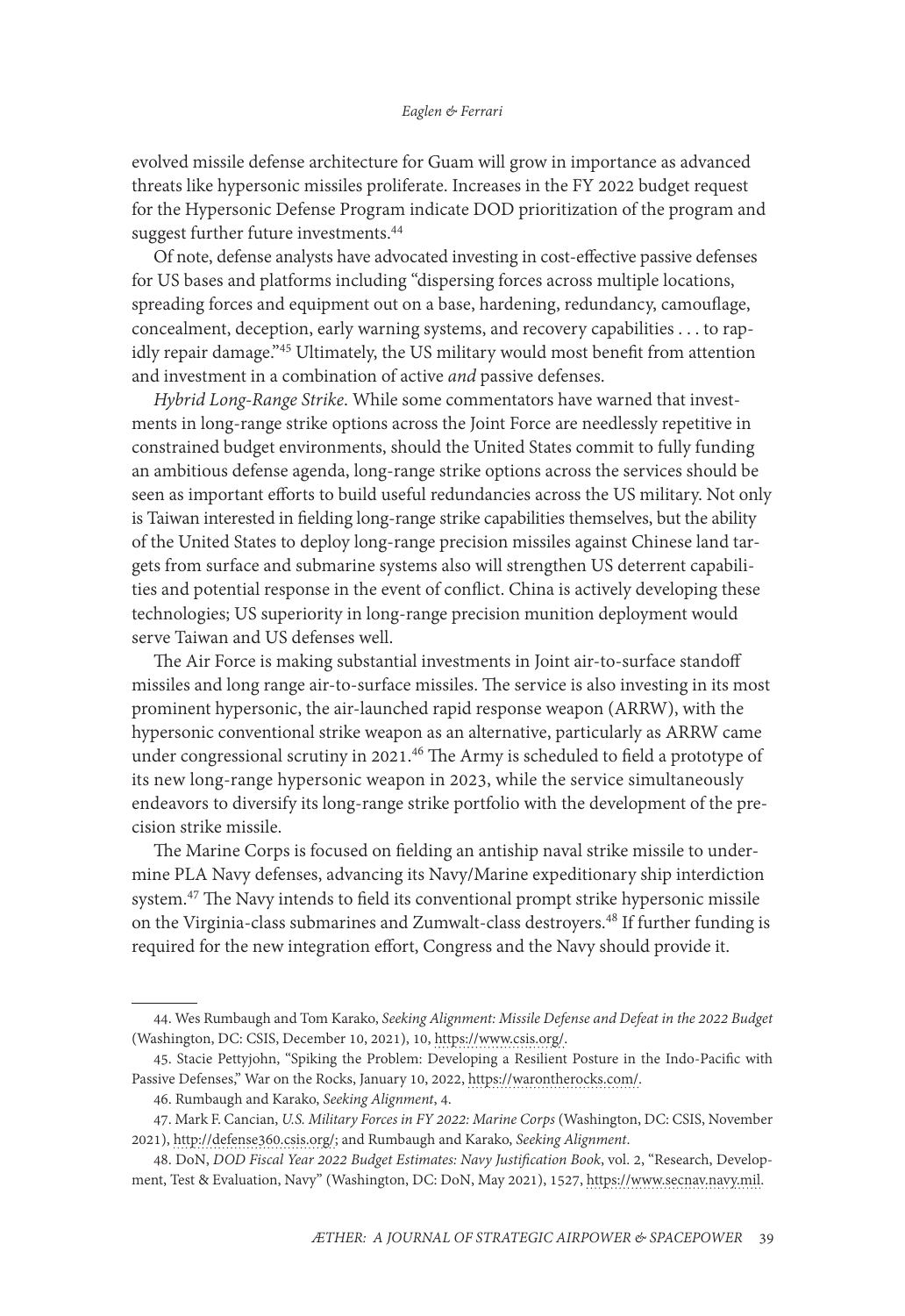#### *Eaglen & Ferrari*

evolved missile defense architecture for Guam will grow in importance as advanced threats like hypersonic missiles proliferate. Increases in the FY 2022 budget request for the Hypersonic Defense Program indicate DOD prioritization of the program and suggest further future investments.<sup>44</sup>

Of note, defense analysts have advocated investing in cost-effective passive defenses for US bases and platforms including "dispersing forces across multiple locations, spreading forces and equipment out on a base, hardening, redundancy, camouflage, concealment, deception, early warning systems, and recovery capabilities . . . to rapidly repair damage."45 Ultimately, the US military would most benefit from attention and investment in a combination of active *and* passive defenses.

*Hybrid Long-Range Strike*. While some commentators have warned that investments in long-range strike options across the Joint Force are needlessly repetitive in constrained budget environments, should the United States commit to fully funding an ambitious defense agenda, long-range strike options across the services should be seen as important efforts to build useful redundancies across the US military. Not only is Taiwan interested in fielding long-range strike capabilities themselves, but the ability of the United States to deploy long-range precision missiles against Chinese land targets from surface and submarine systems also will strengthen US deterrent capabilities and potential response in the event of conflict. China is actively developing these technologies; US superiority in long-range precision munition deployment would serve Taiwan and US defenses well.

The Air Force is making substantial investments in Joint air-to-surface standoff missiles and long range air-to-surface missiles. The service is also investing in its most prominent hypersonic, the air-launched rapid response weapon (ARRW), with the hypersonic conventional strike weapon as an alternative, particularly as ARRW came under congressional scrutiny in 2021.<sup>46</sup> The Army is scheduled to field a prototype of its new long-range hypersonic weapon in 2023, while the service simultaneously endeavors to diversify its long-range strike portfolio with the development of the precision strike missile.

The Marine Corps is focused on fielding an antiship naval strike missile to undermine PLA Navy defenses, advancing its Navy/Marine expeditionary ship interdiction system.47 The Navy intends to field its conventional prompt strike hypersonic missile on the Virginia-class submarines and Zumwalt-class destroyers.48 If further funding is required for the new integration effort, Congress and the Navy should provide it.

<sup>44.</sup> Wes Rumbaugh and Tom Karako, *Seeking Alignment: Missile Defense and Defeat in the 2022 Budget* (Washington, DC: CSIS, December 10, 2021), 10, [https://www.csis.org/.](https://www.csis.org/)

<sup>45.</sup> Stacie Pettyjohn, "Spiking the Problem: Developing a Resilient Posture in the Indo-Pacific with Passive Defenses," War on the Rocks, January 10, 2022, [https://warontherocks.com/.](https://warontherocks.com/2022/01/spiking-the-problem-developing-a-resilient-posture-in-the-indo-pacific-with-passive-defenses/)

<sup>46.</sup> Rumbaugh and Karako, *Seeking Alignment*, 4.

<sup>47.</sup> Mark F. Cancian, *U.S. Military Forces in FY 2022: Marine Corps* (Washington, DC: CSIS, November 2021), [http://defense360.csis.org/](http://defense360.csis.org/wp-content/uploads/2021/11/211115_Cancian_MilitaryForcesFY2022_MarineCorps_v3.pdf); and Rumbaugh and Karako, *Seeking Alignment*.

<sup>48.</sup> DoN, *DOD Fiscal Year 2022 Budget Estimates: Navy Justification Book*, vol. 2, "Research, Development, Test & Evaluation, Navy" (Washington, DC: DoN, May 2021), 1527, https://www.secnav.navy.mil.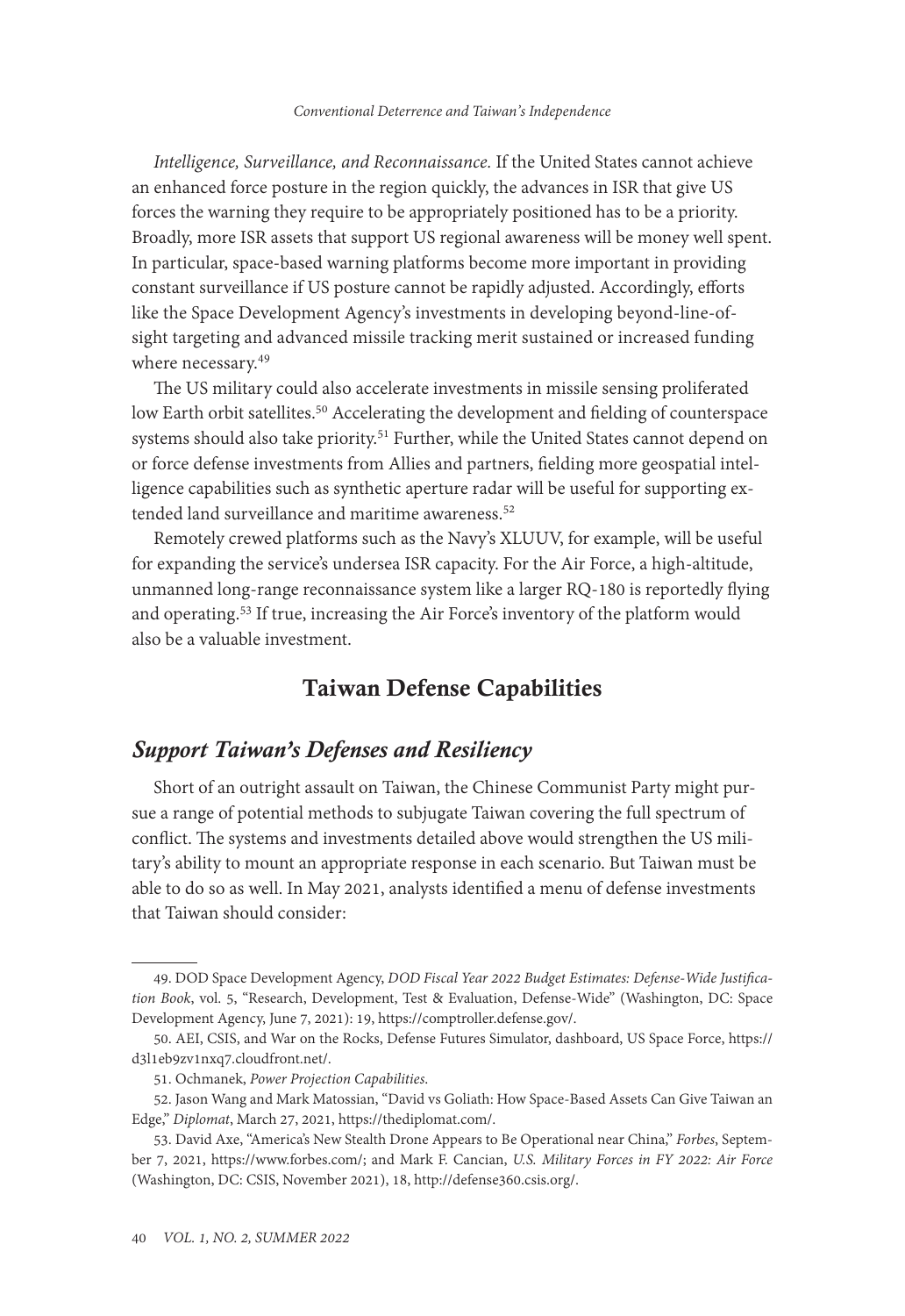*Intelligence, Surveillance, and Reconnaissance.* If the United States cannot achieve an enhanced force posture in the region quickly, the advances in ISR that give US forces the warning they require to be appropriately positioned has to be a priority. Broadly, more ISR assets that support US regional awareness will be money well spent. In particular, space-based warning platforms become more important in providing constant surveillance if US posture cannot be rapidly adjusted. Accordingly, efforts like the Space Development Agency's investments in developing beyond-line-ofsight targeting and advanced missile tracking merit sustained or increased funding where necessary.<sup>49</sup>

The US military could also accelerate investments in missile sensing proliferated low Earth orbit satellites.<sup>50</sup> Accelerating the development and fielding of counterspace systems should also take priority.<sup>51</sup> Further, while the United States cannot depend on or force defense investments from Allies and partners, fielding more geospatial intelligence capabilities such as synthetic aperture radar will be useful for supporting extended land surveillance and maritime awareness.<sup>52</sup>

Remotely crewed platforms such as the Navy's XLUUV, for example, will be useful for expanding the service's undersea ISR capacity. For the Air Force, a high-altitude, unmanned long-range reconnaissance system like a larger RQ-180 is reportedly flying and operating.53 If true, increasing the Air Force's inventory of the platform would also be a valuable investment.

# Taiwan Defense Capabilities

### *Support Taiwan's Defenses and Resiliency*

Short of an outright assault on Taiwan, the Chinese Communist Party might pursue a range of potential methods to subjugate Taiwan covering the full spectrum of conflict. The systems and investments detailed above would strengthen the US military's ability to mount an appropriate response in each scenario. But Taiwan must be able to do so as well. In May 2021, analysts identified a menu of defense investments that Taiwan should consider:

<sup>49.</sup> DOD Space Development Agency, *DOD Fiscal Year 2022 Budget Estimates: Defense-Wide Justification Book*, vol. 5, "Research, Development, Test & Evaluation, Defense-Wide" (Washington, DC: Space Development Agency, June 7, 2021): 19, https://comptroller.defense.gov/.

<sup>50.</sup> AEI, CSIS, and War on the Rocks, Defense Futures Simulator, dashboard, US Space Force, [https://](https://d3l1eb9zv1nxq7.cloudfront.net/bre4dk/dashboard/space-force/missile-warning/low-earth-orbit-leo) [d3l1eb9zv1nxq7.cloudfront.net/.](https://d3l1eb9zv1nxq7.cloudfront.net/bre4dk/dashboard/space-force/missile-warning/low-earth-orbit-leo)

<sup>51.</sup> Ochmanek, *Power Projection Capabilities*.

<sup>52.</sup> Jason Wang and Mark Matossian, "David vs Goliath: How Space-Based Assets Can Give Taiwan an Edge," *Diplomat*, March 27, 2021, [https://thediplomat.com/](https://thediplomat.com/2021/03/david-vs-goliath-how-space-based-assets-can-give-taiwan-an-edge/).

<sup>53.</sup> David Axe, "America's New Stealth Drone Appears to Be Operational near China," *Forbes*, September 7, 2021, [https://www.forbes.com/;](https://www.forbes.com/sites/davidaxe/2021/09/07/americas-new-stealth-drone-appears-to-be-operational-near-china/?sh=37b53dcf1621) and Mark F. Cancian, *U.S. Military Forces in FY 2022: Air Force* (Washington, DC: CSIS, November 2021), 18, http://defense360.csis.org/.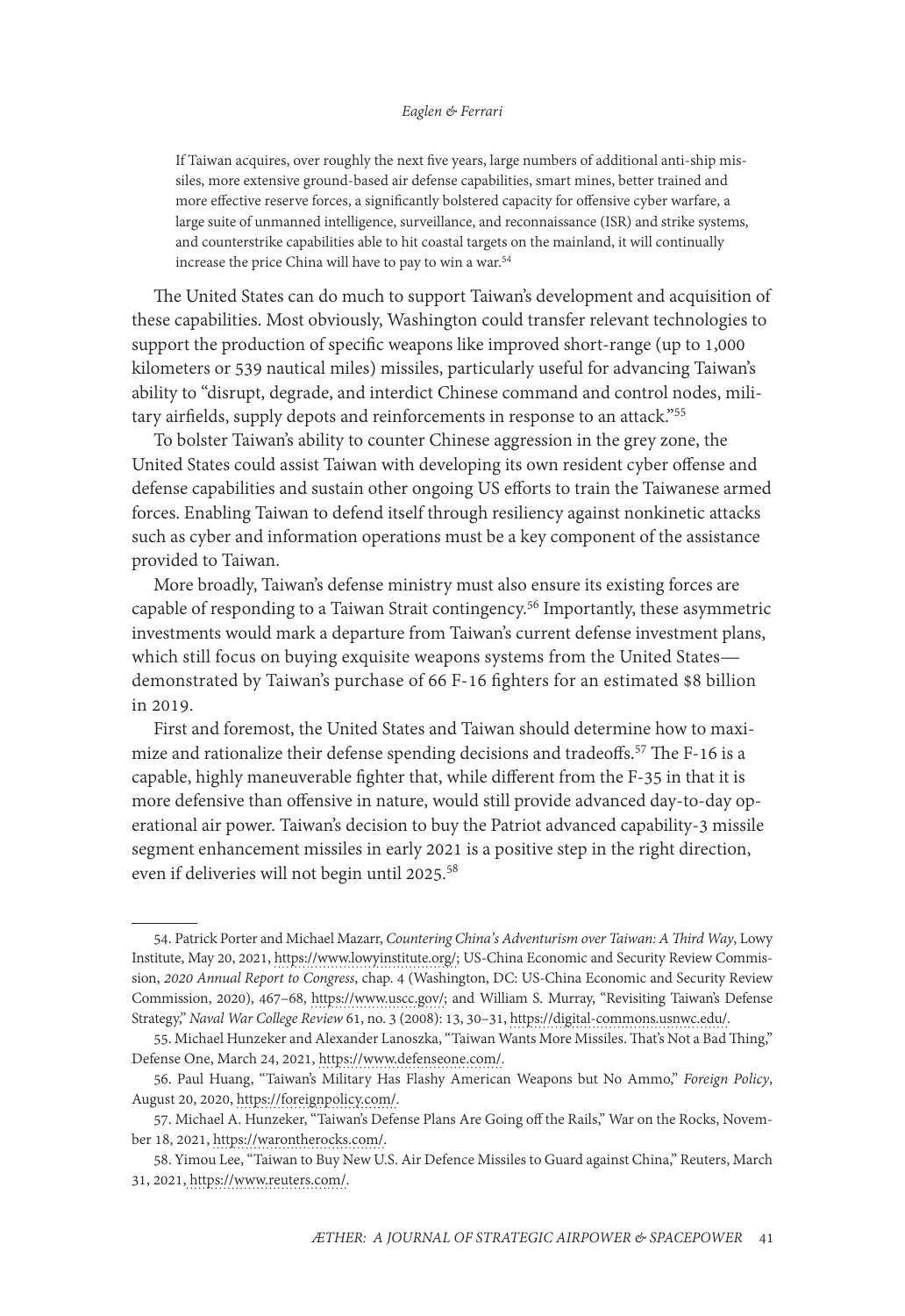#### *Eaglen & Ferrari*

If Taiwan acquires, over roughly the next five years, large numbers of additional anti-ship missiles, more extensive ground-based air defense capabilities, smart mines, better trained and more effective reserve forces, a significantly bolstered capacity for offensive cyber warfare, a large suite of unmanned intelligence, surveillance, and reconnaissance (ISR) and strike systems, and counterstrike capabilities able to hit coastal targets on the mainland, it will continually increase the price China will have to pay to win a war.54

The United States can do much to support Taiwan's development and acquisition of these capabilities. Most obviously, Washington could transfer relevant technologies to support the production of specific weapons like improved short-range (up to 1,000 kilometers or 539 nautical miles) missiles, particularly useful for advancing Taiwan's ability to "disrupt, degrade, and interdict Chinese command and control nodes, military airfields, supply depots and reinforcements in response to an attack."55

To bolster Taiwan's ability to counter Chinese aggression in the grey zone, the United States could assist Taiwan with developing its own resident cyber offense and defense capabilities and sustain other ongoing US efforts to train the Taiwanese armed forces. Enabling Taiwan to defend itself through resiliency against nonkinetic attacks such as cyber and information operations must be a key component of the assistance provided to Taiwan.

More broadly, Taiwan's defense ministry must also ensure its existing forces are capable of responding to a Taiwan Strait contingency.56 Importantly, these asymmetric investments would mark a departure from Taiwan's current defense investment plans, which still focus on buying exquisite weapons systems from the United States demonstrated by Taiwan's purchase of 66 F-16 fighters for an estimated \$8 billion in 2019.

First and foremost, the United States and Taiwan should determine how to maximize and rationalize their defense spending decisions and tradeoffs.<sup>57</sup> The F-16 is a capable, highly maneuverable fighter that, while different from the F-35 in that it is more defensive than offensive in nature, would still provide advanced day-to-day operational air power. Taiwan's decision to buy the Patriot advanced capability-3 missile segment enhancement missiles in early 2021 is a positive step in the right direction, even if deliveries will not begin until 2025.58

<sup>54.</sup> Patrick Porter and Michael Mazarr, *Countering China's Adventurism over Taiwan: A Third Way*, Lowy Institute, May 20, 2021, https://www.lowyinstitute.org/; US-China Economic and Security Review Commission, *2020 Annual Report to Congress*, chap. 4 (Washington, DC: US-China Economic and Security Review Commission, 2020), 467–68, [https://www.uscc.gov/;](https://www.uscc.gov/annual-report/2020-annual-report-congress) and William S. Murray, "Revisiting Taiwan's Defense Strategy," *Naval War College Review* 61, no. 3 (2008): 13, 30–31, [https://digital-commons.usnwc.edu/](https://digital-commons.usnwc.edu/nwc-review/vol61/iss3/3/).

<sup>55.</sup> Michael Hunzeker and Alexander Lanoszka, "Taiwan Wants More Missiles. That's Not a Bad Thing," Defense One, March 24, 2021, [https://www.defenseone.com/](https://www.defenseone.com/ideas/2021/03/taiwan-wants-more-missiles-s-not-bad-thing/172887/).

<sup>56.</sup> Paul Huang, "Taiwan's Military Has Flashy American Weapons but No Ammo," *Foreign Policy*, August 20, 2020, [https://foreignpolicy.com/.](https://foreignpolicy.com/2020/08/20/taiwan-military-flashy-american-weapons-no-ammo/)

<sup>57.</sup> Michael A. Hunzeker, "Taiwan's Defense Plans Are Going off the Rails," War on the Rocks, November 18, 2021, [https://warontherocks.com/.](https://warontherocks.com/2021/11/taiwans-defense-plans-are-going-off-the-rails/)

<sup>58.</sup> Yimou Lee, "Taiwan to Buy New U.S. Air Defence Missiles to Guard against China," Reuters, March 31, 2021, [https://www.reuters.com/](https://www.reuters.com/article/us-taiwan-defence/taiwan-to-buy-new-u-s-air-defence-missiles-to-guard-against-china-idUSKBN2BN1AA).